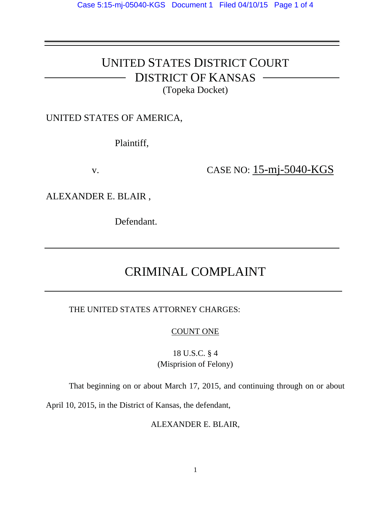# UNITED STATES DISTRICT COURT DISTRICT OF KANSAS

(Topeka Docket)

### UNITED STATES OF AMERICA,

Plaintiff,

v. **CASE NO:** 15-mj-5040-KGS

ALEXANDER E. BLAIR ,

Defendant.

# CRIMINAL COMPLAINT

THE UNITED STATES ATTORNEY CHARGES:

COUNT ONE

18 U.S.C. § 4 (Misprision of Felony)

That beginning on or about March 17, 2015, and continuing through on or about

April 10, 2015, in the District of Kansas, the defendant,

ALEXANDER E. BLAIR,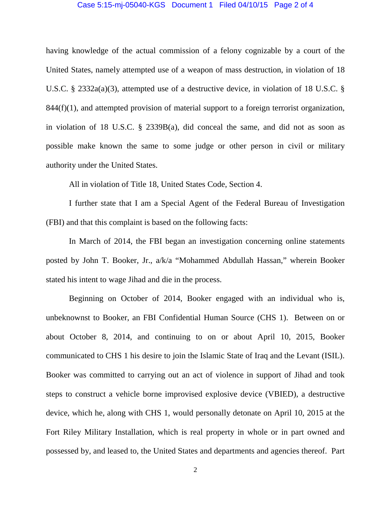#### Case 5:15-mj-05040-KGS Document 1 Filed 04/10/15 Page 2 of 4

having knowledge of the actual commission of a felony cognizable by a court of the United States, namely attempted use of a weapon of mass destruction, in violation of 18 U.S.C. § 2332a(a)(3), attempted use of a destructive device, in violation of 18 U.S.C. §  $844(f)(1)$ , and attempted provision of material support to a foreign terrorist organization, in violation of 18 U.S.C. § 2339B(a), did conceal the same, and did not as soon as possible make known the same to some judge or other person in civil or military authority under the United States.

All in violation of Title 18, United States Code, Section 4.

I further state that I am a Special Agent of the Federal Bureau of Investigation (FBI) and that this complaint is based on the following facts:

In March of 2014, the FBI began an investigation concerning online statements posted by John T. Booker, Jr., a/k/a "Mohammed Abdullah Hassan," wherein Booker stated his intent to wage Jihad and die in the process.

Beginning on October of 2014, Booker engaged with an individual who is, unbeknownst to Booker, an FBI Confidential Human Source (CHS 1). Between on or about October 8, 2014, and continuing to on or about April 10, 2015, Booker communicated to CHS 1 his desire to join the Islamic State of Iraq and the Levant (ISIL). Booker was committed to carrying out an act of violence in support of Jihad and took steps to construct a vehicle borne improvised explosive device (VBIED), a destructive device, which he, along with CHS 1, would personally detonate on April 10, 2015 at the Fort Riley Military Installation, which is real property in whole or in part owned and possessed by, and leased to, the United States and departments and agencies thereof. Part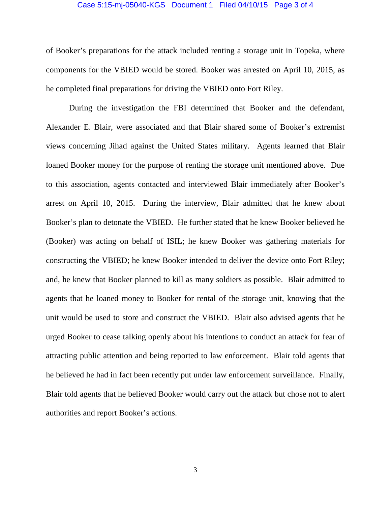#### Case 5:15-mj-05040-KGS Document 1 Filed 04/10/15 Page 3 of 4

of Booker's preparations for the attack included renting a storage unit in Topeka, where components for the VBIED would be stored. Booker was arrested on April 10, 2015, as he completed final preparations for driving the VBIED onto Fort Riley.

During the investigation the FBI determined that Booker and the defendant, Alexander E. Blair, were associated and that Blair shared some of Booker's extremist views concerning Jihad against the United States military. Agents learned that Blair loaned Booker money for the purpose of renting the storage unit mentioned above. Due to this association, agents contacted and interviewed Blair immediately after Booker's arrest on April 10, 2015. During the interview, Blair admitted that he knew about Booker's plan to detonate the VBIED. He further stated that he knew Booker believed he (Booker) was acting on behalf of ISIL; he knew Booker was gathering materials for constructing the VBIED; he knew Booker intended to deliver the device onto Fort Riley; and, he knew that Booker planned to kill as many soldiers as possible. Blair admitted to agents that he loaned money to Booker for rental of the storage unit, knowing that the unit would be used to store and construct the VBIED. Blair also advised agents that he urged Booker to cease talking openly about his intentions to conduct an attack for fear of attracting public attention and being reported to law enforcement. Blair told agents that he believed he had in fact been recently put under law enforcement surveillance. Finally, Blair told agents that he believed Booker would carry out the attack but chose not to alert authorities and report Booker's actions.